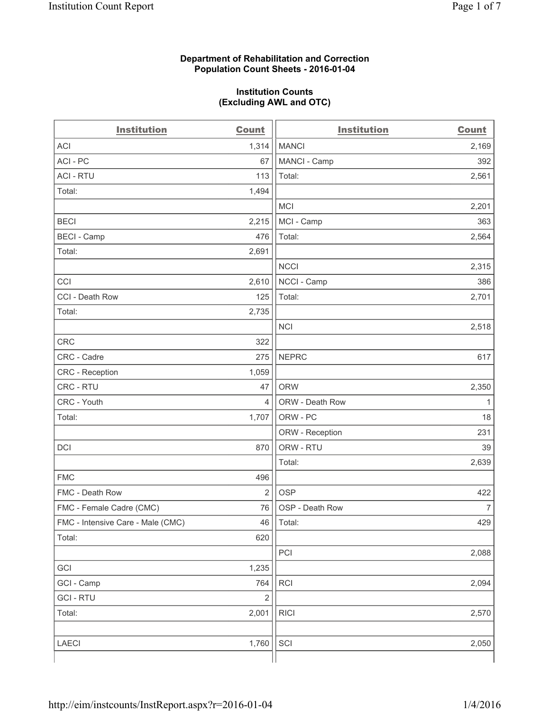#### **Department of Rehabilitation and Correction Population Count Sheets - 2016-01-04**

#### **Institution Counts (Excluding AWL and OTC)**

| <b>Institution</b>                | Count          | <b>Institution</b> | <b>Count</b>   |
|-----------------------------------|----------------|--------------------|----------------|
| <b>ACI</b>                        | 1,314          | <b>MANCI</b>       | 2,169          |
| ACI-PC                            | 67             | MANCI - Camp       | 392            |
| <b>ACI - RTU</b>                  | 113            | Total:             | 2,561          |
| Total:                            | 1,494          |                    |                |
|                                   |                | <b>MCI</b>         | 2,201          |
| <b>BECI</b>                       | 2,215          | MCI - Camp         | 363            |
| <b>BECI</b> - Camp                | 476            | Total:             | 2,564          |
| Total:                            | 2,691          |                    |                |
|                                   |                | <b>NCCI</b>        | 2,315          |
| CCI                               | 2,610          | NCCI - Camp        | 386            |
| CCI - Death Row                   | 125            | Total:             | 2,701          |
| Total:                            | 2,735          |                    |                |
|                                   |                | <b>NCI</b>         | 2,518          |
| <b>CRC</b>                        | 322            |                    |                |
| CRC - Cadre                       | 275            | <b>NEPRC</b>       | 617            |
| CRC - Reception                   | 1,059          |                    |                |
| CRC - RTU                         | 47             | <b>ORW</b>         | 2,350          |
| CRC - Youth                       | 4              | ORW - Death Row    | 1              |
| Total:                            | 1,707          | ORW - PC           | 18             |
|                                   |                | ORW - Reception    | 231            |
| DCI                               | 870            | ORW - RTU          | 39             |
|                                   |                | Total:             | 2,639          |
| <b>FMC</b>                        | 496            |                    |                |
| FMC - Death Row                   | $\overline{2}$ | <b>OSP</b>         | 422            |
| FMC - Female Cadre (CMC)          | 76             | OSP - Death Row    | $\overline{7}$ |
| FMC - Intensive Care - Male (CMC) | 46             | Total:             | 429            |
| Total:                            | 620            |                    |                |
|                                   |                | PCI                | 2,088          |
| GCI                               | 1,235          |                    |                |
| GCI - Camp                        | 764            | RCI                | 2,094          |
| <b>GCI-RTU</b>                    | $\overline{2}$ |                    |                |
| Total:                            | 2,001          | <b>RICI</b>        | 2,570          |
|                                   |                |                    |                |
| <b>LAECI</b>                      | 1,760          | SCI                | 2,050          |
|                                   |                |                    |                |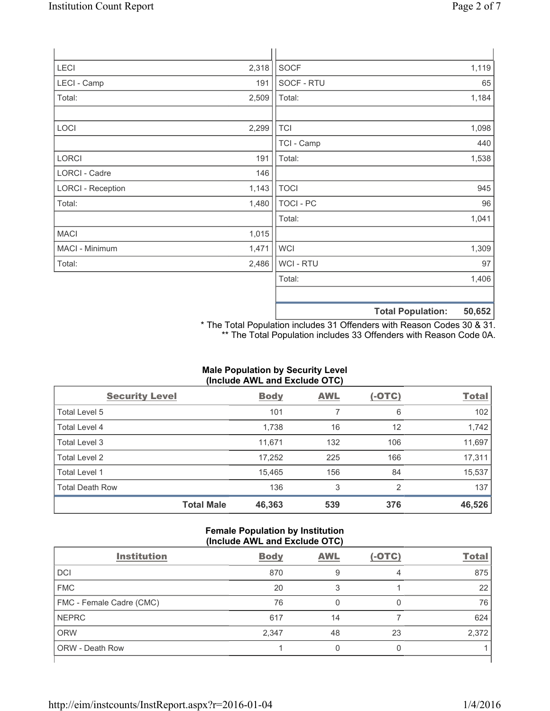| <b>LECI</b>              | 2,318 | SOCF             |                          | 1,119  |
|--------------------------|-------|------------------|--------------------------|--------|
| LECI - Camp              | 191   | SOCF - RTU       |                          | 65     |
| Total:                   | 2,509 | Total:           |                          | 1,184  |
|                          |       |                  |                          |        |
| LOCI                     | 2,299 | <b>TCI</b>       |                          | 1,098  |
|                          |       | TCI - Camp       |                          | 440    |
| <b>LORCI</b>             | 191   | Total:           |                          | 1,538  |
| LORCI - Cadre            | 146   |                  |                          |        |
| <b>LORCI - Reception</b> | 1,143 | <b>TOCI</b>      |                          | 945    |
| Total:                   | 1,480 | <b>TOCI - PC</b> |                          | 96     |
|                          |       | Total:           |                          | 1,041  |
| <b>MACI</b>              | 1,015 |                  |                          |        |
| MACI - Minimum           | 1,471 | <b>WCI</b>       |                          | 1,309  |
| Total:                   | 2,486 | WCI - RTU        |                          | 97     |
|                          |       | Total:           |                          | 1,406  |
|                          |       |                  |                          |        |
|                          |       |                  | <b>Total Population:</b> | 50,652 |

\* The Total Population includes 31 Offenders with Reason Codes 30 & 31. \*\* The Total Population includes 33 Offenders with Reason Code 0A.

## **Male Population by Security Level (Include AWL and Exclude OTC)**

| <b>Security Level</b>  |                   | <b>Body</b> | <b>AWL</b> | $(-OTC)$ | <b>Total</b> |
|------------------------|-------------------|-------------|------------|----------|--------------|
| Total Level 5          |                   | 101         | 7          | 6        | 102          |
| <b>Total Level 4</b>   |                   | 1,738       | 16         | 12       | 1,742        |
| Total Level 3          |                   | 11,671      | 132        | 106      | 11,697       |
| Total Level 2          |                   | 17,252      | 225        | 166      | 17,311       |
| Total Level 1          |                   | 15,465      | 156        | 84       | 15,537       |
| <b>Total Death Row</b> |                   | 136         | 3          | 2        | 137          |
|                        | <b>Total Male</b> | 46,363      | 539        | 376      | 46,526       |

### **Female Population by Institution (Include AWL and Exclude OTC)**

| $\frac{1}{2}$            |             |            |          |              |
|--------------------------|-------------|------------|----------|--------------|
| <b>Institution</b>       | <b>Body</b> | <b>AWL</b> | $(-OTC)$ | <b>Total</b> |
| <b>DCI</b>               | 870         | 9          | 4        | 875          |
| <b>FMC</b>               | 20          |            |          | 22           |
| FMC - Female Cadre (CMC) | 76          |            |          | 76           |
| <b>NEPRC</b>             | 617         | 14         |          | 624          |
| <b>ORW</b>               | 2,347       | 48         | 23       | 2,372        |
| <b>ORW - Death Row</b>   |             |            |          |              |
|                          |             |            |          |              |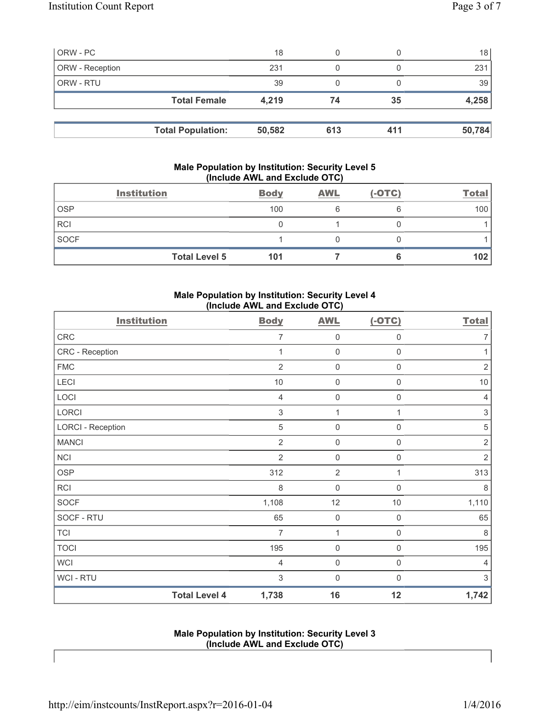| ORW - PC        |                          | 18     | 0   |     | 18 <sup>1</sup> |
|-----------------|--------------------------|--------|-----|-----|-----------------|
| ORW - Reception |                          | 231    | 0   |     | 231             |
| ORW - RTU       |                          | 39     | 0   |     | 39              |
|                 | <b>Total Female</b>      | 4,219  | 74  | 35  | 4,258           |
|                 |                          |        |     |     |                 |
|                 | <b>Total Population:</b> | 50,582 | 613 | 411 | 50,784          |

## **Male Population by Institution: Security Level 5 (Include AWL and Exclude OTC)**

|             | <b>Institution</b>   | <b>Body</b> | <b>AWL</b> | $(-OTC)$ | <b>Total</b> |
|-------------|----------------------|-------------|------------|----------|--------------|
| <b>OSP</b>  |                      | 100         |            |          | 100          |
| <b>RCI</b>  |                      |             |            |          |              |
| <b>SOCF</b> |                      |             |            |          |              |
|             | <b>Total Level 5</b> | 101         |            |          | 102          |

## **Male Population by Institution: Security Level 4 (Include AWL and Exclude OTC)**

| <b>Institution</b>       |                      | <b>Body</b>    | <b>AWL</b>          | $(-OTC)$            | <b>Total</b>   |
|--------------------------|----------------------|----------------|---------------------|---------------------|----------------|
| CRC                      |                      | 7              | $\mathsf{0}$        | $\mathsf{0}$        | $\overline{7}$ |
| CRC - Reception          |                      | 1              | $\mathsf{0}$        | $\mathsf{0}$        | 1              |
| <b>FMC</b>               |                      | $\overline{2}$ | $\mathsf{O}\xspace$ | $\mathsf{O}\xspace$ | $\sqrt{2}$     |
| LECI                     |                      | $10$           | $\mathsf{O}\xspace$ | $\mathsf{O}\xspace$ | $10$           |
| LOCI                     |                      | $\overline{4}$ | $\mathsf{O}\xspace$ | $\mathsf{O}\xspace$ | $\overline{4}$ |
| LORCI                    |                      | $\sqrt{3}$     | 1                   | 1                   | $\sqrt{3}$     |
| <b>LORCI - Reception</b> |                      | 5              | $\mathsf{O}\xspace$ | 0                   | $\sqrt{5}$     |
| <b>MANCI</b>             |                      | $\overline{2}$ | $\mathsf{O}\xspace$ | $\boldsymbol{0}$    | $\sqrt{2}$     |
| <b>NCI</b>               |                      | $\overline{2}$ | $\mathsf{O}\xspace$ | $\boldsymbol{0}$    | $\overline{2}$ |
| <b>OSP</b>               |                      | 312            | $\overline{2}$      | 1                   | 313            |
| <b>RCI</b>               |                      | 8              | $\mathsf 0$         | $\mathbf 0$         | 8              |
| <b>SOCF</b>              |                      | 1,108          | 12                  | $10$                | 1,110          |
| SOCF - RTU               |                      | 65             | $\mathsf{O}\xspace$ | $\mathbf 0$         | 65             |
| <b>TCI</b>               |                      | 7              | 1                   | $\mathbf 0$         | 8              |
| <b>TOCI</b>              |                      | 195            | $\mathbf 0$         | $\mathsf{O}\xspace$ | 195            |
| <b>WCI</b>               |                      | 4              | $\mathsf{O}\xspace$ | $\mathsf{O}\xspace$ | $\overline{4}$ |
| <b>WCI-RTU</b>           |                      | 3              | $\mathsf 0$         | $\mathbf 0$         | 3              |
|                          | <b>Total Level 4</b> | 1,738          | 16                  | 12                  | 1,742          |

### **Male Population by Institution: Security Level 3 (Include AWL and Exclude OTC)**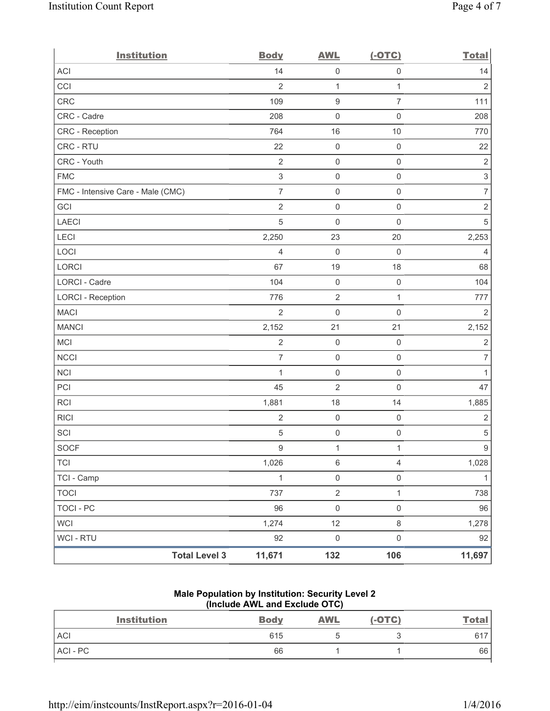| <b>Institution</b>                | <b>Body</b>               | <b>AWL</b>          | $(-OTC)$            | <b>Total</b>              |
|-----------------------------------|---------------------------|---------------------|---------------------|---------------------------|
| <b>ACI</b>                        | 14                        | $\mathsf{O}\xspace$ | $\mathsf{O}\xspace$ | 14                        |
| CCI                               | $\overline{2}$            | $\mathbf{1}$        | $\mathbf{1}$        | $\overline{2}$            |
| CRC                               | 109                       | $\boldsymbol{9}$    | $\overline{7}$      | 111                       |
| CRC - Cadre                       | 208                       | $\mathsf{O}\xspace$ | $\mathsf{O}\xspace$ | 208                       |
| CRC - Reception                   | 764                       | 16                  | 10                  | 770                       |
| CRC - RTU                         | 22                        | $\mathsf{O}\xspace$ | $\mathsf{O}\xspace$ | 22                        |
| CRC - Youth                       | $\sqrt{2}$                | $\mathbf 0$         | $\mathsf{O}\xspace$ | $\overline{2}$            |
| <b>FMC</b>                        | $\ensuremath{\mathsf{3}}$ | $\mathbf 0$         | $\mathsf{O}\xspace$ | $\ensuremath{\mathsf{3}}$ |
| FMC - Intensive Care - Male (CMC) | $\overline{7}$            | $\mathsf{O}\xspace$ | $\mathsf 0$         | $\boldsymbol{7}$          |
| GCI                               | $\overline{2}$            | $\mathbf 0$         | $\mathsf{O}\xspace$ | $\sqrt{2}$                |
| <b>LAECI</b>                      | 5                         | $\mathsf{O}\xspace$ | $\mathsf{O}\xspace$ | $\sqrt{5}$                |
| LECI                              | 2,250                     | 23                  | 20                  | 2,253                     |
| LOCI                              | $\overline{4}$            | $\mathbf 0$         | $\mathsf{O}\xspace$ | $\overline{4}$            |
| LORCI                             | 67                        | 19                  | 18                  | 68                        |
| LORCI - Cadre                     | 104                       | $\mathbf 0$         | $\mathsf{O}\xspace$ | 104                       |
| <b>LORCI - Reception</b>          | 776                       | $\mathbf 2$         | $\mathbf{1}$        | 777                       |
| <b>MACI</b>                       | $\overline{2}$            | $\mathsf{O}\xspace$ | $\mathsf{O}\xspace$ | $\overline{2}$            |
| <b>MANCI</b>                      | 2,152                     | 21                  | 21                  | 2,152                     |
| MCI                               | $\sqrt{2}$                | $\mathbf 0$         | $\mathsf{O}\xspace$ | $\overline{2}$            |
| <b>NCCI</b>                       | $\overline{7}$            | $\mathbf 0$         | $\mathsf 0$         | $\overline{7}$            |
| <b>NCI</b>                        | $\mathbf 1$               | $\mathsf{O}\xspace$ | $\mathsf 0$         | 1                         |
| PCI                               | 45                        | $\overline{2}$      | $\mathbf 0$         | 47                        |
| <b>RCI</b>                        | 1,881                     | 18                  | 14                  | 1,885                     |
| <b>RICI</b>                       | $\sqrt{2}$                | $\mathbf 0$         | $\mathsf{O}\xspace$ | $\sqrt{2}$                |
| SCI                               | 5                         | $\mathsf{O}\xspace$ | $\mathbf 0$         | $\,$ 5 $\,$               |
| <b>SOCF</b>                       | 9                         | $\mathbf{1}$        | $\mathbf{1}$        | $\boldsymbol{9}$          |
| <b>TCI</b>                        | 1,026                     | $\,6\,$             | $\overline{4}$      | 1,028                     |
| TCI - Camp                        | $\mathbf{1}$              | $\mathsf{O}\xspace$ | $\mathsf{O}\xspace$ | $\mathbf{1}$              |
| <b>TOCI</b>                       | 737                       | $\sqrt{2}$          | $\mathbf{1}$        | 738                       |
| <b>TOCI - PC</b>                  | 96                        | $\mathsf{O}\xspace$ | $\mathsf{O}\xspace$ | 96                        |
| <b>WCI</b>                        | 1,274                     | 12                  | $\,8\,$             | 1,278                     |
| <b>WCI-RTU</b>                    | 92                        | $\mathsf{O}\xspace$ | $\mathsf 0$         | 92                        |
| <b>Total Level 3</b>              | 11,671                    | 132                 | 106                 | 11,697                    |

## **Male Population by Institution: Security Level 2 (Include AWL and Exclude OTC)**

| <b>Institution</b> | <b>Body</b> | <b>AWL</b> | $(-OTC)$ | <b>Total</b> |
|--------------------|-------------|------------|----------|--------------|
| <b>ACI</b>         | 615         |            | ◟        | 617          |
| ACI-PC             | 66          |            |          | 66           |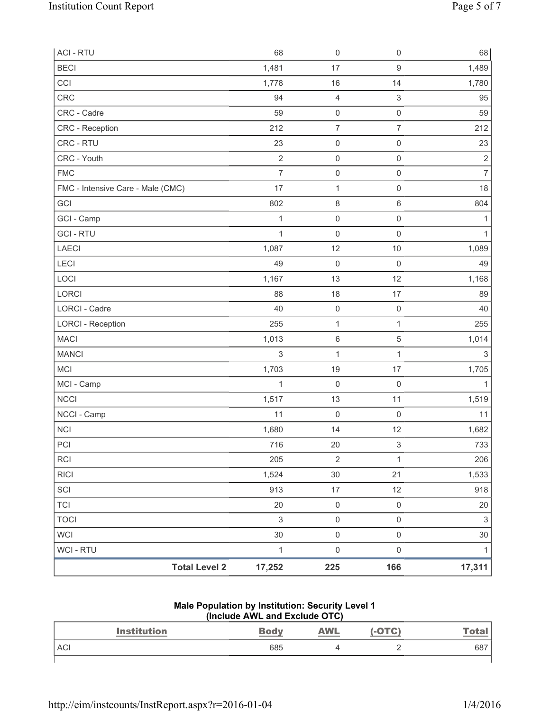| <b>ACI - RTU</b>                  | 68             | $\mathsf{O}\xspace$ | $\mathsf 0$               | 68             |
|-----------------------------------|----------------|---------------------|---------------------------|----------------|
| <b>BECI</b>                       | 1,481          | 17                  | $\boldsymbol{9}$          | 1,489          |
| CCI                               | 1,778          | 16                  | 14                        | 1,780          |
| CRC                               | 94             | $\overline{4}$      | $\ensuremath{\mathsf{3}}$ | 95             |
| CRC - Cadre                       | 59             | $\mathsf{O}\xspace$ | $\mathsf 0$               | 59             |
| <b>CRC</b> - Reception            | 212            | $\overline{7}$      | $\overline{7}$            | 212            |
| CRC - RTU                         | 23             | $\mathbf 0$         | $\mathsf 0$               | 23             |
| CRC - Youth                       | $\overline{2}$ | $\mathsf{O}\xspace$ | $\mathsf 0$               | $\overline{2}$ |
| <b>FMC</b>                        | $\overline{7}$ | $\mathsf{O}\xspace$ | $\mathsf 0$               | $\overline{7}$ |
| FMC - Intensive Care - Male (CMC) | 17             | $\mathbf{1}$        | $\mathsf 0$               | 18             |
| GCI                               | 802            | $\,8\,$             | $\,6\,$                   | 804            |
| GCI - Camp                        | $\mathbf{1}$   | $\mathsf{O}\xspace$ | $\mathsf 0$               | 1              |
| <b>GCI - RTU</b>                  | $\mathbf{1}$   | $\mathsf{O}\xspace$ | $\mathsf 0$               | 1              |
| LAECI                             | 1,087          | 12                  | $10$                      | 1,089          |
| LECI                              | 49             | $\mathsf{O}\xspace$ | $\mathsf 0$               | 49             |
| LOCI                              | 1,167          | 13                  | 12                        | 1,168          |
| LORCI                             | 88             | 18                  | 17                        | 89             |
| <b>LORCI - Cadre</b>              | 40             | $\mathsf{O}\xspace$ | $\mathsf 0$               | 40             |
| <b>LORCI - Reception</b>          | 255            | $\mathbf{1}$        | $\mathbf{1}$              | 255            |
| <b>MACI</b>                       | 1,013          | 6                   | $\sqrt{5}$                | 1,014          |
| <b>MANCI</b>                      | $\sqrt{3}$     | $\mathbf 1$         | 1                         | 3              |
| MCI                               | 1,703          | 19                  | 17                        | 1,705          |
| MCI - Camp                        | $\mathbf{1}$   | $\mathbf 0$         | $\mathsf 0$               | $\mathbf{1}$   |
| <b>NCCI</b>                       | 1,517          | 13                  | 11                        | 1,519          |
| NCCI - Camp                       | 11             | $\mathbf 0$         | $\mathsf 0$               | 11             |
| <b>NCI</b>                        | 1,680          | 14                  | 12                        | 1,682          |
| PCI                               | 716            | 20                  | $\mathsf 3$               | 733            |
| <b>RCI</b>                        | 205            | $\sqrt{2}$          | $\mathbf{1}$              | 206            |
| <b>RICI</b>                       | 1,524          | $30\,$              | 21                        | 1,533          |
| SCI                               | 913            | $17\,$              | 12                        | 918            |
| <b>TCI</b>                        | 20             | $\mathsf 0$         | $\mathsf 0$               | 20             |
| <b>TOCI</b>                       | $\mathsf 3$    | $\mathsf{O}\xspace$ | $\mathsf{O}\xspace$       | $\mathfrak{S}$ |
| <b>WCI</b>                        | 30             | $\mathsf 0$         | $\mathsf{O}\xspace$       | 30             |
| <b>WCI - RTU</b>                  | $\mathbf{1}$   | $\mathsf{O}\xspace$ | $\mathsf 0$               | $\mathbf{1}$   |
| <b>Total Level 2</b>              | 17,252         | 225                 | 166                       | 17,311         |

#### **Male Population by Institution: Security Level 1 (Include AWL and Exclude OTC)**

| <b>Institution</b> | <b>Body</b> | <u>AWL</u> | OTC)     | <b>Total</b> |
|--------------------|-------------|------------|----------|--------------|
| <b>ACI</b>         | 685         |            | <u>_</u> | 687          |
|                    |             |            |          |              |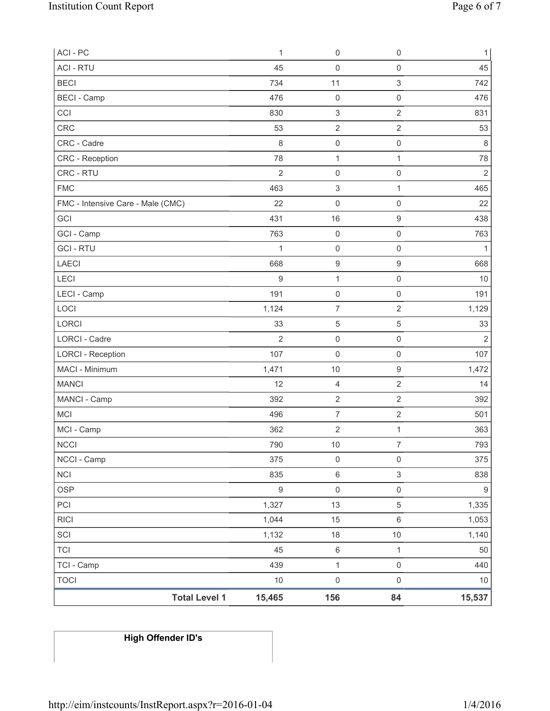| ACI - PC                          | $\mathbf{1}$     | $\mathsf{O}\xspace$       | $\mathsf 0$               | $\mathbf{1}$     |
|-----------------------------------|------------------|---------------------------|---------------------------|------------------|
| <b>ACI - RTU</b>                  | 45               | 0                         | $\mathsf{O}\xspace$       | 45               |
| <b>BECI</b>                       | 734              | 11                        | $\ensuremath{\mathsf{3}}$ | 742              |
| <b>BECI</b> - Camp                | 476              | $\mathsf{O}\xspace$       | $\mathsf 0$               | 476              |
| CCI                               | 830              | $\mathsf 3$               | $\overline{2}$            | 831              |
| CRC                               | 53               | $\mathbf 2$               | $\sqrt{2}$                | 53               |
| CRC - Cadre                       | 8                | $\mathsf 0$               | $\mathsf 0$               | $\,8\,$          |
| CRC - Reception                   | 78               | $\mathbf{1}$              | $\mathbf{1}$              | 78               |
| CRC - RTU                         | $\overline{2}$   | $\mathsf 0$               | $\mathsf 0$               | $\overline{2}$   |
| <b>FMC</b>                        | 463              | $\ensuremath{\mathsf{3}}$ | $\mathbf{1}$              | 465              |
| FMC - Intensive Care - Male (CMC) | 22               | 0                         | $\mathsf 0$               | 22               |
| GCI                               | 431              | 16                        | $\boldsymbol{9}$          | 438              |
| GCI - Camp                        | 763              | $\mathsf{O}\xspace$       | $\mathsf{O}\xspace$       | 763              |
| <b>GCI-RTU</b>                    | $\mathbf{1}$     | $\mathsf 0$               | $\mathsf 0$               | $\mathbf{1}$     |
| <b>LAECI</b>                      | 668              | $\boldsymbol{9}$          | $\hbox{9}$                | 668              |
| LECI                              | $9\,$            | $\mathbf{1}$              | $\mathsf 0$               | 10               |
| LECI - Camp                       | 191              | $\mathsf 0$               | $\mathsf{O}\xspace$       | 191              |
| LOCI                              | 1,124            | $\overline{7}$            | $\overline{2}$            | 1,129            |
| LORCI                             | 33               | $\,$ 5 $\,$               | 5                         | 33               |
| <b>LORCI - Cadre</b>              | $\overline{2}$   | $\mathsf 0$               | $\mathsf 0$               | $\overline{2}$   |
| <b>LORCI - Reception</b>          | 107              | 0                         | $\mathsf 0$               | 107              |
| MACI - Minimum                    | 1,471            | 10                        | $\boldsymbol{9}$          | 1,472            |
| <b>MANCI</b>                      | 12               | 4                         | $\mathbf 2$               | 14               |
| MANCI - Camp                      | 392              | $\sqrt{2}$                | $\mathbf 2$               | 392              |
| <b>MCI</b>                        | 496              | $\overline{7}$            | $\mathbf 2$               | 501              |
| MCI - Camp                        | 362              | $\sqrt{2}$                | $\mathbf{1}$              | 363              |
| <b>NCCI</b>                       | 790              | 10                        | $\overline{7}$            | 793              |
| NCCI - Camp                       | 375              | $\mathsf{O}\xspace$       | $\mathsf 0$               | 375              |
| <b>NCI</b>                        | 835              | 6                         | $\mathfrak{S}$            | 838              |
| <b>OSP</b>                        | $\boldsymbol{9}$ | $\mathsf{O}\xspace$       | $\mathsf{O}\xspace$       | $\boldsymbol{9}$ |
| PCI                               | 1,327            | 13                        | 5                         | 1,335            |
| <b>RICI</b>                       | 1,044            | 15                        | $\,6\,$                   | 1,053            |
| SCI                               | 1,132            | $18$                      | $10$                      | 1,140            |
| <b>TCI</b>                        | 45               | $\,6\,$                   | $\mathbf{1}$              | 50               |
| TCI - Camp                        | 439              | $\mathbf 1$               | $\mathsf{O}\xspace$       | 440              |
| <b>TOCI</b>                       | $10$             | $\mathsf{O}\xspace$       | $\mathsf 0$               | 10               |
| <b>Total Level 1</b>              | 15,465           | 156                       | 84                        | 15,537           |

# **High Offender ID's**